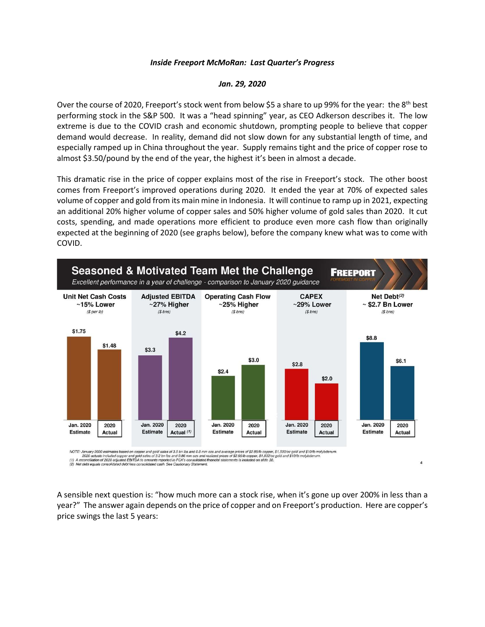## *Inside Freeport McMoRan: Last Quarter's Progress*

## *Jan. 29, 2020*

Over the course of 2020, Freeport's stock went from below \$5 a share to up 99% for the year: the 8th best performing stock in the S&P 500. It was a "head spinning" year, as CEO Adkerson describes it. The low extreme is due to the COVID crash and economic shutdown, prompting people to believe that copper demand would decrease. In reality, demand did not slow down for any substantial length of time, and especially ramped up in China throughout the year. Supply remains tight and the price of copper rose to almost \$3.50/pound by the end of the year, the highest it's been in almost a decade.

This dramatic rise in the price of copper explains most of the rise in Freeport's stock. The other boost comes from Freeport's improved operations during 2020. It ended the year at 70% of expected sales volume of copper and gold from its main mine in Indonesia. It will continue to ramp up in 2021, expecting an additional 20% higher volume of copper sales and 50% higher volume of gold sales than 2020. It cut costs, spending, and made operations more efficient to produce even more cash flow than originally expected at the beginning of 2020 (see graphs below), before the company knew what was to come with COVID.



NOTE: January 2020 estimates based on copper and gold sales of 3.5 bn Ibs and 0.8 mm ozs and average prices of \$2.85/lb copper, \$1,500/oz gold and \$10/lb molybdenum.<br>(1) A reconciliation of 2020 adjusted EBITDA to amounts

A sensible next question is: "how much more can a stock rise, when it's gone up over 200% in less than a year?" The answer again depends on the price of copper and on Freeport's production. Here are copper's price swings the last 5 years:

 $\sqrt{4}$